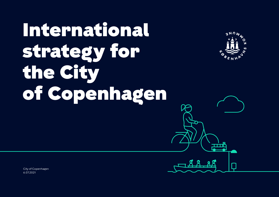# International strategy for the City of Copenhagen



TTTTÄ

City of Copenhagen 6.07.2021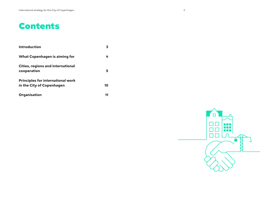# Contents

| Introduction                                                          | З  |
|-----------------------------------------------------------------------|----|
| <b>What Copenhagen is aiming for</b>                                  | 4  |
| <b>Cities, regions and international</b><br>cooperation               | 5  |
| <b>Principles for international work</b><br>in the City of Copenhagen | 10 |
| Organisation                                                          | 11 |

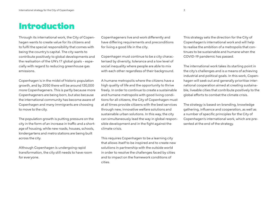# Introduction

Through its international work, the City of Copenhagen wants to create value for its citizens and to fulfil the special responsibility that comes with being the country's capital. The city wants to contribute positively to global developments and the realisation of the UN's 17 global goals – especially with regard to reducing greenhouse gas emissions.

Copenhagen is in the midst of historic population growth, and by 2050 there will be around 130,000 more Copenhageners. This is partly because more Copenhageners are being born, but also because the international community has become aware of Copenhagen and many immigrants are choosing to move to the city.

The population growth is putting pressure on the city in the form of an increase in traffic and a shortage of housing, while new roads, houses, schools, kindergartens and metro stations are being built across the city.

Although Copenhagen is undergoing rapid transformation, the city still needs to have room for everyone.

Copenhageners live and work differently and have differing requirements and preconditions for living a good life in the city.

Copenhagen must continue to be a city characterised by diversity, tolerance and a low level of social inequality where people are able to mix with each other regardless of their background.

A humane metropolis where the citizens have a high quality of life and the opportunity to thrive freely. In order to continue to create a sustainable and humane metropolis with good living conditions for all citizens, the City of Copenhagen must at all times provide citizens with the best services through new, innovative welfare solutions and sustainable urban solutions. In this way, the city can simultaneously lead the way in global responsible development and in the fight against the climate crisis.

This requires Copenhagen to be a learning city that allows itself to be inspired and to create new solutions in partnership with the outside world in order to resolve the challenges faced by cities and to impact on the framework conditions of cities.

This strategy sets the direction for the City of Copenhagen's international work and will help to realise the ambition of a metropolis that continues to be sustainable and humane when the COVID-19 pandemic has passed.

The international work takes its starting point in the city's challenges and is a means of achieving industrial and political goals. In this work, Copenhagen will seek out and generally prioritise international cooperation aimed at creating sustainable, liveable cities that contribute positively to the global efforts to combat the climate crisis.

The strategy is based on branding, knowledge gathering, influence and cooperation, as well as a number of specific principles for the City of Copenhagen's international work, which are presented at the end of the strategy.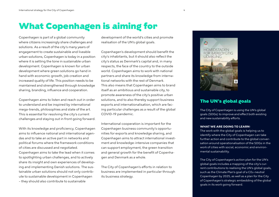# What Copenhagen is aiming for

Copenhagen is part of a global community where citizens increasingly share challenges and solutions. As a result of the city's many years of engagement to create sustainable and liveable urban solutions, Copenhagen is today in a position where it is setting the tone in sustainable urban development. Copenhagen is known for urban development where green solutions go hand in hand with economic growth, job creation and increased quality of life. This position needs to be maintained and strengthened through knowledge sharing, branding, influence and cooperation.

Copenhagen aims to listen and reach out in order to understand and be inspired by international mega-trends, philosophies and state of the art. This is essential for resolving the city's current challenges and staying out in front going forward.

With its knowledge and proficiency, Copenhagen aims to influence national and international agendas and to take an active part in networks and political forums where the framework conditions of cities are discussed and negotiated.

Copenhagen aims to take the lead when it comes to spotlighting urban challenges, and to actively share its insight and own experiences of developing and implementing Danish solutions. The sustainable urban solutions should not only contribute to sustainable development in Copenhagen – they should also contribute to sustainable

development of the world's cities and promote realisation of the UN's global goals.

Copenhagen's development should benefit the city's inhabitants, but it should also reflect the city's status as Denmark's capital and, in many respects, the face of the country to the outside world. Copenhagen aims to work with national partners and share its knowledge from international networks with the rest of Denmark. This also means that Copenhagen aims to brand itself as an ambitious and sustainable city, to promote awareness of the city's positive urban solutions, and to also thereby support business exports and internationalisation, which are facing particular challenges as a result of the global COVID-19 pandemic.

International cooperation is important for the Copenhagen business community's opportunities for exports and knowledge sharing, and Copenhagen aims to attract international investment and knowledge-intensive companies that can support employment, the green transition and general growth for the benefit of Copenhagen and Denmark as a whole.

The City of Copenhagen's efforts in relation to business are implemented in particular through its business strategy.



### The UN's global goals

The City of Copenhagen is using the UN's global goals (SDGs) to improve and effect both existing and new sustainability efforts.

#### **WHAT WE ARE DOING TO LEARN:**

The work with the global goals is helping us to identify where the City of Copenhagen can take further action and contribute to the global conversation around operationalisation of the SDGs in the work of cities with social, economic and environmental sustainability.

The City of Copenhagen's action plan for the UN's global goals includes a mapping of the city's current contributions to realising the UN's global goals, such as the Climate Plan's goal of a C02-neutral Copenhagen by 2025, as well as a plan for the City of Copenhagen's strategic embedding of the global goals in its work going forward.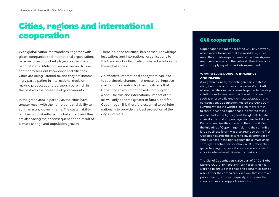# Cities, regions and international cooperation

With globalisation, metropolises, together with global companies and international organisations, have become important players on the international stage. Metropolises are turning to one another to seek out knowledge and alliances. Cities are being listened to, and they are increasingly participating in international decisionmaking processes and partnerships, which in the past was the preserve of governments.

In the green area in particular, the cities have greater reach with their ambitions and ability to act than many governments. The sustainability of cities is constantly being challenged, and they are also facing major consequences as a result of climate change and population growth.

There is a need for cities, businesses, knowledge institutions and international organisations to think and work collectively on shared solutions to these challenges.

An effective international ecosystem can lead to sustainable changes that create real improvements in the day-to-day lives of citizens that Copenhagen would not be able to bring about alone. The role and international impact of cities will only become greater in future, and for Copenhagen it is therefore essential to act internationally to provide the best protection of the city's interests.

### C40 cooperation

Copenhagen is a member of the C40 city network, which works to ensure that the world's big cities meet the climate requirements of the Paris Agreement. As members of the network, the cities commit to complying with the Paris Agreement.

#### **WHAT WE ARE DOING TO INFLUENCE AND INSPIRE:**

As a green pioneer, Copenhagen participates in a large number of professional networks in C40, where the cities' experts come together to develop solutions and share best practice within areas such as energy efficiency, climate adaptation and construction. Copenhagen hosted the C40's 2019 summit, where the world's leading mayors met to share ideas and experiences in order to take a united lead in the fight against the global climate crisis.As the host, Copenhagen had invited all the Danish municipalities to attend the summit. On the initiative of Copenhagen, during the summit a large business forum was also arranged as the first C40 step towards the extensive involvement of private business in the fight against the climate crisis. Through its active participation in C40, Copenhagen is helping to ensure that cities have a powerful voice in international climate discussions.

The City of Copenhagen is also part of C40's Global Mayors COVID-19 Recovery Task Force, which is working to ensure that cities and economies can be rebuilt after the corona crisis in a way that improves public health, reduces inequality, addresses the climate crisis and supports new jobs.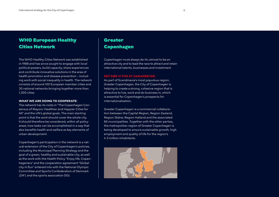# WHO European Healthy Cities Network

The WHO Healthy Cities Network was established in 1988 and has since sought to engage with local political powers, build capacity, share experiences and contribute innovative solutions in the area of health promotion and disease prevention – including work with social inequality in health. The network consists of around 100 European member cities and 30 national networks bringing together more than 1,300 cities.

#### **WHAT WE ARE DOING TO COOPERATE:**

The network has its roots in "The Copenhagen Consensus of Mayors: Healthier and Happier Cities for All" and the UN's global goals. The main starting point is that the work should cover the whole city. It should therefore be considered, within all policy areas, how tasks can be accomplished in a way that also benefits health and welfare as key elements of urban development.

Copenhagen's participation in the network is a natural extension of the City of Copenhagen's policies, including the Municipal Planning Strategy and the goal of a green, healthy and sustainable city, as well as the work with the Health Policy "Enjoy life, Copenhageners" and the cooperation agreement "Global city in flux" entered into with the National Olympic Committee and Sports Confederation of Denmark (DIF) and the sports association DGI.

### Greater Copenhagen

Copenhagen must always do its utmost to be an attractive city and to lead the race to attract and retain international talents, businesses and investment.

#### **DET GØR VI FOR AT SAMARBEJDE:**

As part of Scandinavia's most populous region, Greater Copenhagen, the City of Copenhagen is helping to create a strong, cohesive region that is attractive to live, work and do business in, which is essential for Copenhagen's prospects for internationalisation.

Greater Copenhagen is a commercial collaboration between the Capital Region, Region Zealand, Region Skåne, Region Halland and the associated 85 municipalities. Together with the other parties, the metropolitan region of Greater Copenhagen is being developed to ensure sustainable growth, high employment and quality of life for the region's 4.3 million inhabitants.

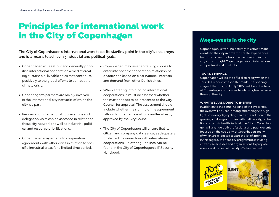# Principles for international work in the City of Copenhagen

The City of Copenhagen's international work takes its starting point in the city's challenges and is a means to achieving industrial and political goals.

- Copenhagen will seek out and generally prioritise international cooperation aimed at creating sustainable, liveable cities that contribute positively to the global efforts to combat the climate crisis.
- Copenhagen's partners are mainly involved in the international city networks of which the city is a part.
- Requests for international cooperations and delegation visits can be assessed in relation to these city networks as well as industrial, political and resource prioritisations.
- Copenhagen may enter into cooperation agreements with other cities in relation to specific industrial areas for a limited time period.
- Copenhagen may, as a capital city, choose to enter into specific cooperation relationships or activities based on clear national interests and demand from other Danish cities.
- When entering into binding international cooperations, it must be assessed whether the matter needs to be presented to the City Council for approval. The assessment should include whether the signing of the agreement falls within the framework of a matter already approved by the City Council.
- The City of Copenhagen will ensure that its citizen and company data is always adequately protected in connection with international cooperations. Relevant guidelines can be found in the City of Copenhagen's IT Security Handbook.

### Mega-events in the city

Copenhagen is working actively to attract megaevents to the city in order to create experiences for citizens, ensure broad value creation in the city and spotlight Copenhagen as an international and professional host city.

#### **TOUR DE FRANCE**

Copenhagen will be the official start city when the Tour de France comes to Denmark. The opening stage of the Tour, on 1 July 2022, will be in the heart of Copenhagen with a spectacular single-start race through the city.

#### **WHAT WE ARE DOING TO INSPIRE:**

In addition to the actual holding of the cycle race, the event will be used, among other things, to highlight how everyday cycling can be the solution to the growing challenges of cities with trafficability, pollution and public health.As host, the City of Copenhagen will arrange both professional and public events focused on the cycle city of Copenhagen, many of which are expected to attract a lot of attention. In this regard, the host city programme is inviting citizens, businesses and organisations to propose events and be part of the city's Yellow Festival.

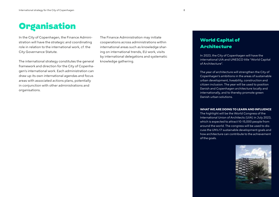In the City of Copenhagen, the Finance Administration will have the strategic and coordinating role in relation to the international work, cf. the City Governance Statute.

The international strategy constitutes the general framework and direction for the City of Copenhagen's international work. Each administration can draw up its own international agendas and focus areas with associated actions plans, potentially in conjunction with other administrations and organisations.

The Finance Administration may initiate cooperations across administrations within international areas such as knowledge sharing on international trends, EU work, visits by international delegations and systematic knowledge gathering.

# World Capital of Architecture

In 2023, the City of Copenhagen will have the international UIA and UNESCO title "World Capital of Architecture".

The year of architecture will strengthen the City of Copenhagen's ambitions in the areas of sustainable urban development, liveability, construction and citizen inclusion. The year will be used to position Danish and Copenhagen architecture locally and internationally, and to thereby promote green Danish urban solutions.

#### **WHAT WE ARE DOING TO LEARN AND INFLUENCE**

The highlight will be the World Congress of the International Union of Architects (UIA) in July 2023, which is expected to attract 10-15,000 people from around the world. The congress will be used to discuss the UN's 17 sustainable development goals and how architecture can contribute to the achievement of the goals.